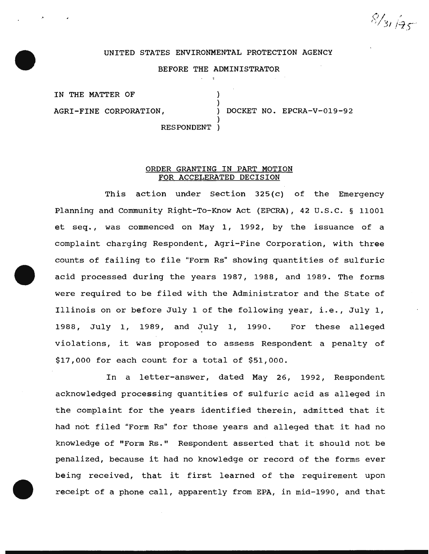$8/31/95$ 

## UNITED STATES ENVIRONMENTAL PROTECTION AGENCY

# BEFORE THE ADMINISTRATOR

)

)

IN THE MATTER OF

AGRI-FINE CORPORATION, ) DOCKET NO. EPCRA-V-019-92

RESPONDENT )

## ORDER GRANTING IN PART MOTION FOR ACCELERATED DECISION

This action under Section 325(c) of the Emergency Planning and Community Right-To-Know Act (EPCRA), 42 U.S.C. § 11001 et seq., was commenced on May 1, 1992, by the issuance of a complaint charging Respondent, Agri-Fine Corporation, with three counts of failing to file "Form Rs" showing quantities of sulfuric acid processed during the years 1987, 1988, and 1989. The forms were required to be filed with the Administrator and the State of Illinois on or before July 1 of the following year, i.e., July 1, 1988, July 1, 1989, and July 1, 1990. For these alleged violations, it was proposed to assess Respondent a penalty of \$17,000 for each count for a total of \$51,000.

In a letter-answer, dated May 26, 1992, Respondent acknowledged processing quantities of sulfuric acid as alleged in the complaint for the years identified therein, admitted that it had not filed "Form Rs" for those years and alleged that it had no knowledge of "Form Rs." Respondent asserted that it should not be penalized, because it had no knowledge or record of the forms ever being received, that it first learned of the requirement upon receipt of a phone call, apparently from EPA, in mid-1990, and that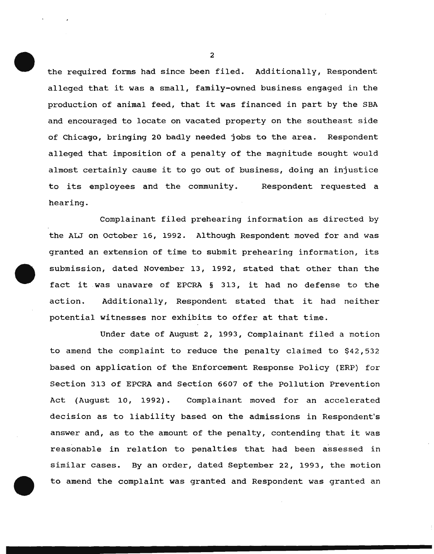the required forms had since been filed. Additionally, Respondent alleged that it was a small, family-owned business engaged in the production of animal feed, that it was financed in part by the SBA and encouraged to locate on vacated property on the southeast side of Chicago, bringing 20 badly needed jobs to the area. Respondent alleged that imposition of a penalty of the magnitude sought would almost certainly cause it to go out of business, doing an injustice to its employees and the community. Respondent requested a hearing.

Complainant filed prehearing information as directed by the ALJ on October 16, 1992. Although Respondent moved for and was granted an extension of time to submit prehearing information, its submission, dated November 13, 1992, stated that other than the fact it was unaware of EPCRA § 313, it had no defense to the action. Additionally, Respondent stated that it had neither potential witnesses nor exhibits to offer at that time.

Under date of August 2, 1993, Complainant filed a motion to amend the complaint to reduce the penalty claimed to \$42,532 based on application of the Enforcement Response Policy (ERP) for Section 313 of EPCRA and Section 6607 of the Pollution Prevention Act (August 10, 1992) . Complainant moved for an accelerated decision as to liability based on the admissions in Respondent's answer and, as to the amount of the penalty, contending that it was reasonable in relation to penalties that had been assessed in similar cases. By an order, dated September 22, 1993, the motion to amend the complaint was granted and Respondent was granted an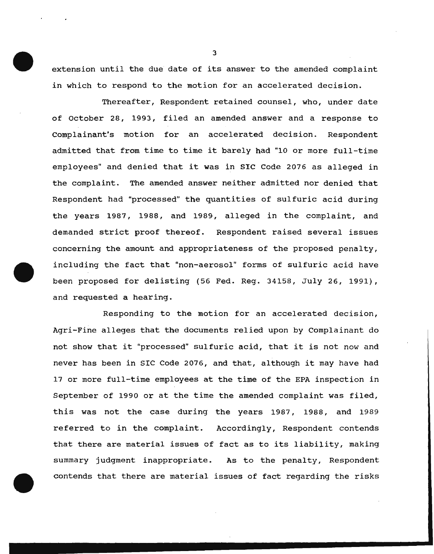extension until the due date of its answer to the amended complaint in which to respond to the motion for an accelerated decision.

Thereafter, Respondent retained counsel, who, under date of october 28, 1993, filed an amended answer and a response to Complainant's motion for an accelerated decision. Respondent admitted that from time to time it barely had "10 or more full-time employees" and denied that it was in SIC Code 2076 as alleged in the complaint. The amended answer neither admitted nor denied that Respondent had "processed" the quantities of sulfuric acid during the years 1987, 1988, and 1989, alleged in the complaint, and demanded strict proof thereof. Respondent raised several issues concerning the amount and appropriateness of the proposed penalty, including the fact that "non-aerosol" forms of sulfuric acid have been proposed for delisting (56 Fed. Reg. 34158, July 26, 1991), and requested a hearing.

Responding to the motion for an accelerated decision, Agri-Fine alleges that the documents relied upon by Complainant do not show that it "processed" sulfuric acid, that it is not now and never has been in SIC Code 2076, and that, although it may have had 17 or more full-time employees at the time of the EPA inspection in September of 1990 or at the time the amended complaint was filed, this was not the case during the years 1987, 1988, and 1989 referred to in the complaint. Accordingly, Respondent contends that there are material issues of fact as to its liability, making summary judgment inappropriate. As to the penalty, Respondent contends that there are material issues of fact regarding the risks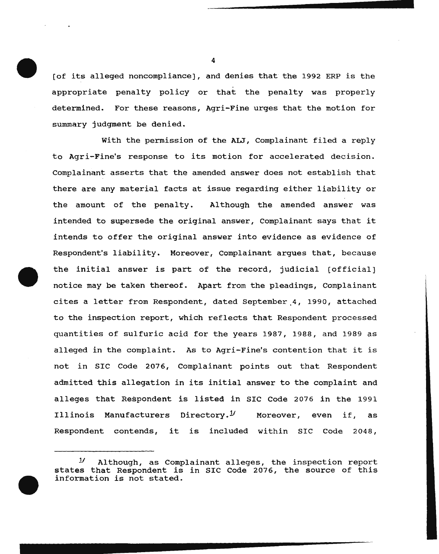(of its alleged noncompliance), and denies that the 1992 ERP is the appropriate penalty policy or that the penalty was properly determined. For these reasons, Agri-Fine urges that the motion for summary judgment be denied.

With the permission of the ALJ, Complainant filed a reply to Agri-Fine's response to its motion for accelerated decision. Complainant asserts that the amended answer does not establish that there are any material facts at issue regarding either liability or the amount of the penalty. Although the amended answer was intended to supersede the original answer, Complainant says that it intends to offer the original answer into evidence as evidence of Respondent's liability. Moreover, Complainant argues that, because the initial answer is part of the record, judicial (official] notice may be taken thereof. Apart from the pleadings, Complainant cites a letter from Respondent, dated September,4, 1990, attached to the inspection report, which reflects that Respondent processed quantities of sulfuric acid for the years 1987, 1988, and 1989 as alleged in the complaint. As to Agri-Fine's contention that it is not in SIC Code 2076, Complainant points out that Respondent admitted this allegation in its initial answer to the complaint and alleges that Respondent is listed in SIC Code 2076 in the 1991 Illinois Manufacturers Directory.<sup> $y$ </sup> Moreover, even if, as Respondent contends, it is included within SIC Code 2048,

*Y* Although, as Complainant alleges, the inspection report states that Respondent is in SIC Code 2076, the source of this information is not stated.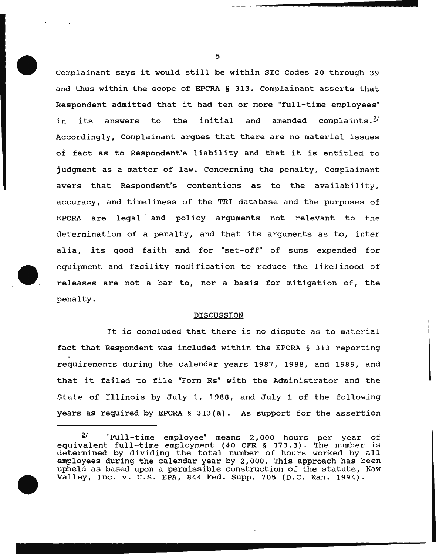Complainant says it would still be within SIC Codes 20 through 39 and thus within the scope of EPCRA § 313. complainant asserts that Respondent admitted that it had ten or more "full-time employees" in its answers to the initial and amended complaints.<sup>2/</sup> Accordingly, Complainant argues that there are no material issues of fact as to Respondent's liability and that it is entitled to judgment as a matter of law. Concerning the penalty, Complainant avers that Respondent's contentions as to the availability, accuracy, and timeliness of the TRI database and the purposes of EPCRA are legal and policy arguments not relevant to the determination of a penalty, and that its arguments as to, inter alia, its good faith and for "set-off" of sums expended for equipment and facility modification to reduce the likelihood of releases are not a bar to, nor a basis for mitigation of, the penalty.

#### DISCUSSION

It is concluded that there is no dispute as to material fact that Respondent was included within the EPCRA § 313 reporting requirements during the calendar years 1987, 1988, and 1989, and that it failed to file "Form Rs" with the Administrator and the State of Illinois by July 1, 1988, and July 1 of the following years as required by EPCRA § 313(a). As support for the assertion

 $2$ <sup>/</sup> "Full-time employee" means 2,000 hours per year of equivalent full-time employment (40 CFR § 373.3). The number is determined by dividing the total number of hours worked by all employees during the calendar year by 2,000. This approach has been upheld as based upon a permissible construction of the statute, Kaw Valley, Inc. v. U.S. EPA, 844 Fed. Supp. 705 (D.C. Kan. 1994).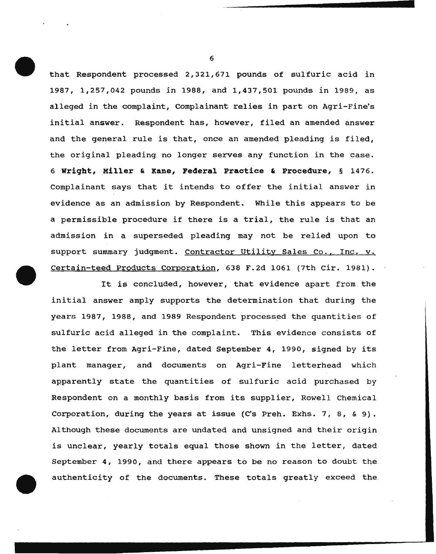that Respondent processed 2,321,671 pounds of sulfuric acid in 1987, 1,257,042 pounds in 1988, and 1,437,501 pounds in 1989, as alleged in the complaint, Complainant relies in part on Agri-Fine's initial answer. Respondent has, however, filed an amended answer and the general rule is that, once an amended pleading is filed, the original pleading no longer serves any function in the case. 6 **Wriqbt, Miller & Kane, Federal Practice & Procedure,** § 1476. Complainant says that it intends to offer the initial answer in evidence as an admission by Respondent. While this appears to be a permissible procedure if there is a trial, the rule is that an admission in a superseded pleading may not be relied upon to support summary judgment. Contractor Utility Sales Co., Inc. v. Certain-teed Products Corporation, 638 F.2d 1061 (7th Cir. 1981}.

It is concluded, however, that evidence apart from the initial answer amply supports the determination that during the years 1987, 1988, and 1989 Respondent processed the quantities of sulfuric acid alleged in the complaint. This evidence consists of the letter from Agri-Fine, dated September 4, 1990, signed by its plant manager, and documents on Agri-Fine letterhead which apparently state the quantities of sulfuric acid purchased by Respondent on a monthly basis from its supplier, Rowell Chemical Corporation, during the years at issue (C's Preh. Exhs. 7, 8, & 9). Although these documents are undated and unsigned and their origin is unclear, yearly totals equal those shown in the letter, dated September 4, 1990, and there appears to be no reason to doubt the authenticity of the documents. These totals greatly exceed the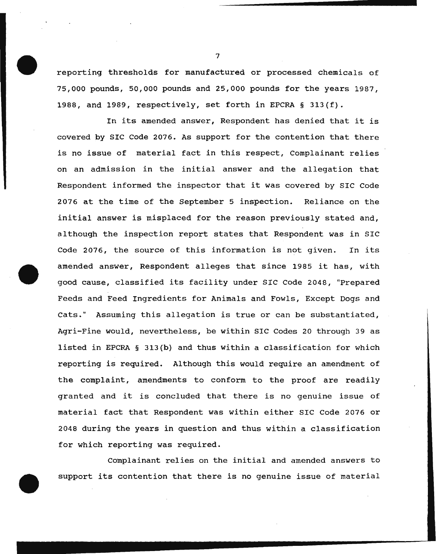reporting thresholds for manufactured or processed chemicals of 75,000 pounds, 50,000 pounds and 25,000 pounds for the years 1987, 1988, and 1989, respectively, set forth in EPCRA § 313(f).

In its amended answer, Respondent has denied that it is covered by SIC Code 2076. As support for the contention that there is no issue of material fact in this respect, Complainant relies on an admission in the initial answer and the allegation that Respondent informed the inspector that it was covered by SIC Code 2076 at the time of the September 5 inspection. Reliance on the initial answer is misplaced for the reason previously stated and, although the inspection report states that Respondent was in SIC Code 2076, the source of this information is not given. In its amended answer, Respondent alleges that since 1985 it has, with good cause, classified its facility under SIC Code 2048, "Prepared Feeds and Feed Ingredients for Animals and Fowls, Except Dogs and Cats." Assuming this allegation is true or can be substantiated, Agri-Fine would, nevertheless, be within SIC Codes 20 through 39 as listed in EPCRA § 313(b) and thus within a classification for which reporting is required. Although this would require an amendment of the complaint, amendments to conform to the proof are readily granted and it is concluded that there is no genuine issue of material fact that Respondent was within either SIC Code 2076 or 2048 during the years in question and thus within a classification for which reporting was required.

Complainant relies on the initial and amended answers to support its contention that there is no genuine issue of material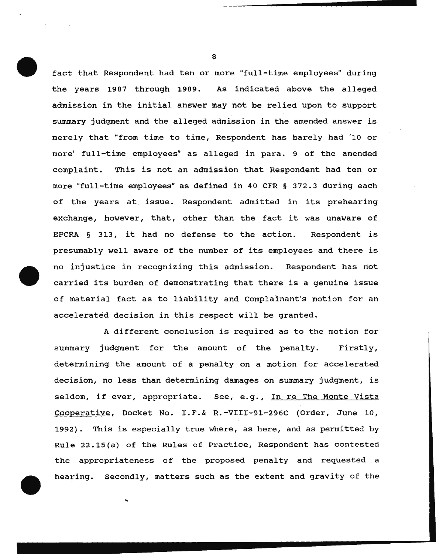fact that Respondent had ten or more "full-time employees" during the years 1987 through 1989. As indicated above the alleged admission in the initial answer may not be relied upon to support summary judgment and the alleged admission in the amended answer is merely that "from time to time, Respondent has barely had '10 or more' full-time employees" as alleged in para. 9 of the amended complaint. This is not an admission that Respondent had ten or more "full-time employees" as defined in 40 CFR § 372.3 during each of the years at. issue. Respondent admitted in its prehearing exchange, however, that, other than the fact it was unaware of EPCRA § 313, it had no defense to the action. Respondent is presumably well aware of the number of its employees and there is no injustice in recognizing this admission. Respondent has not carried its burden of demonstrating that there is a genuine issue of material fact as to liability and Complainant's motion for an accelerated decision in this respect will be granted.

A different conclusion is required as to the motion for summary judgment for the amount of the penalty. Firstly, determining the amount of a penalty on a motion for accelerated decision, no less than determining damages on summary judgment, is seldom, if ever, appropriate. See, e.g., In re The Monte Vista Cooperative, Docket No. I.F.& R.-VIII-91-296C (Order, June 10, 1992). This is especially true where, as here, and as permitted by Rule 22.15(a) of the Rules of Practice, Respondent has contested the appropriateness of the proposed penalty and requested a hearing. Secondly, matters such as the extent and gravity of the

..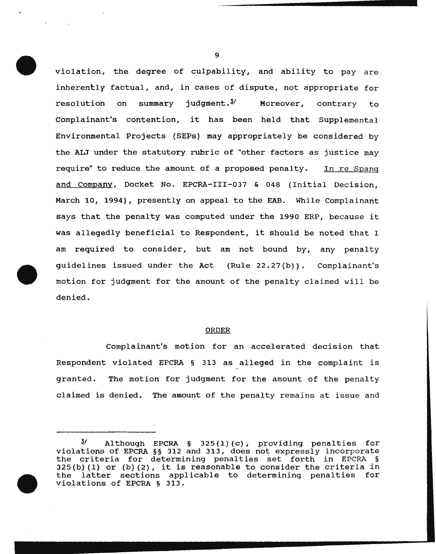violation, the degree of culpability, and ability to pay are inherently factual, and, in cases of dispute, not appropriate for resolution on summary judgment. $\frac{3}{4}$  Moreover, contrary to Complainant's contention, it has been held that Supplemental Environmental Projects (SEPs) may appropriately be considered by the AIJ under the statutory rubric of "other factors as justice may require" to reduce the amount of a proposed penalty. In re Spang and Company, Docket No. EPCRA-III-037 & 048 (Initial Decision, March 10, 1994), presently on appeal to the EAB. While Complainant says that the penalty was computed under the 1990 ERP, because it was allegedly beneficial to Respondent, it should be noted that I am required to consider, but am not bound by, any penalty guidelines issued under the Act (Rule 22.27 (b)) . Complainant's motion for judgment for the amount of the penalty claimed will be denied.

#### ORDER

Complainant's motion for an accelerated decision that Respondent violated EPCRA § 313 as alleged in the complaint is granted. The motion for judgment for the amount of the penalty claimed is denied. The amount of the penalty remains at issue and

 $\frac{3}{4}$  Although EPCRA § 325(1)(c), providing penalties for violations of EPCRA §§ 312 and 313, does not expressly incorporate the criteria for determining penalties set forth in EPCRA §  $325(b)$  (1) or (b) (2), it is reasonable to consider the criteria in the latter sections applicable to determining penalties for violations of EPCRA § 313.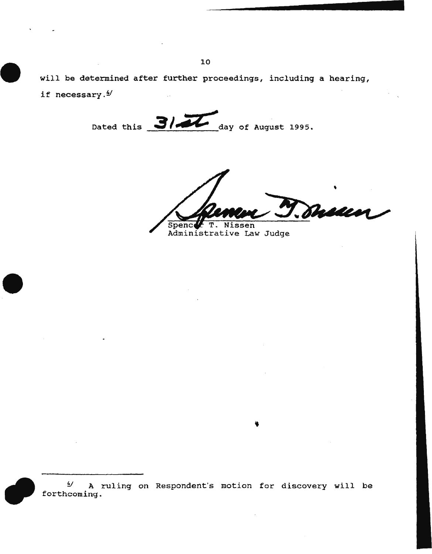will be determined after further proceedings, including a hearing, if necessary. $4/$ 

Dated this **3/44** day of August 1995.

duun  $\overline{\mathtt{T}}$  . Nissen Spenc

Administrative Law Judge

 $4'$  A ruling on Respondent's motion for discovery will be forthcoming.